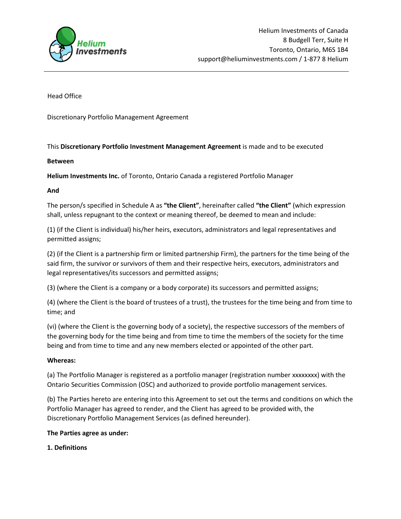

Head Office

Discretionary Portfolio Management Agreement

## This Discretionary Portfolio Investment Management Agreement is made and to be executed

## Between

Helium Investments Inc. of Toronto, Ontario Canada a registered Portfolio Manager

## And

The person/s specified in Schedule A as "the Client", hereinafter called "the Client" (which expression shall, unless repugnant to the context or meaning thereof, be deemed to mean and include:

(1) (if the Client is individual) his/her heirs, executors, administrators and legal representatives and permitted assigns;

(2) (if the Client is a partnership firm or limited partnership Firm), the partners for the time being of the said firm, the survivor or survivors of them and their respective heirs, executors, administrators and legal representatives/its successors and permitted assigns;

(3) (where the Client is a company or a body corporate) its successors and permitted assigns;

(4) (where the Client is the board of trustees of a trust), the trustees for the time being and from time to time; and

(vi) (where the Client is the governing body of a society), the respective successors of the members of the governing body for the time being and from time to time the members of the society for the time being and from time to time and any new members elected or appointed of the other part.

### Whereas:

(a) The Portfolio Manager is registered as a portfolio manager (registration number xxxxxxxx) with the Ontario Securities Commission (OSC) and authorized to provide portfolio management services.

(b) The Parties hereto are entering into this Agreement to set out the terms and conditions on which the Portfolio Manager has agreed to render, and the Client has agreed to be provided with, the Discretionary Portfolio Management Services (as defined hereunder).

### The Parties agree as under:

### 1. Definitions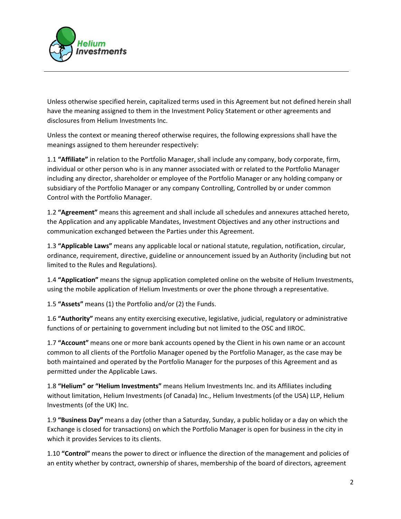

Unless otherwise specified herein, capitalized terms used in this Agreement but not defined herein shall have the meaning assigned to them in the Investment Policy Statement or other agreements and disclosures from Helium Investments Inc.

Unless the context or meaning thereof otherwise requires, the following expressions shall have the meanings assigned to them hereunder respectively:

1.1 "Affiliate" in relation to the Portfolio Manager, shall include any company, body corporate, firm, individual or other person who is in any manner associated with or related to the Portfolio Manager including any director, shareholder or employee of the Portfolio Manager or any holding company or subsidiary of the Portfolio Manager or any company Controlling, Controlled by or under common Control with the Portfolio Manager.

1.2 "Agreement" means this agreement and shall include all schedules and annexures attached hereto, the Application and any applicable Mandates, Investment Objectives and any other instructions and communication exchanged between the Parties under this Agreement.

1.3 "Applicable Laws" means any applicable local or national statute, regulation, notification, circular, ordinance, requirement, directive, guideline or announcement issued by an Authority (including but not limited to the Rules and Regulations).

1.4 "Application" means the signup application completed online on the website of Helium Investments, using the mobile application of Helium Investments or over the phone through a representative.

1.5 "Assets" means (1) the Portfolio and/or (2) the Funds.

1.6 "Authority" means any entity exercising executive, legislative, judicial, regulatory or administrative functions of or pertaining to government including but not limited to the OSC and IIROC.

1.7 "Account" means one or more bank accounts opened by the Client in his own name or an account common to all clients of the Portfolio Manager opened by the Portfolio Manager, as the case may be both maintained and operated by the Portfolio Manager for the purposes of this Agreement and as permitted under the Applicable Laws.

1.8 "Helium" or "Helium Investments" means Helium Investments Inc. and its Affiliates including without limitation, Helium Investments (of Canada) Inc., Helium Investments (of the USA) LLP, Helium Investments (of the UK) Inc.

1.9 "Business Day" means a day (other than a Saturday, Sunday, a public holiday or a day on which the Exchange is closed for transactions) on which the Portfolio Manager is open for business in the city in which it provides Services to its clients.

1.10 "Control" means the power to direct or influence the direction of the management and policies of an entity whether by contract, ownership of shares, membership of the board of directors, agreement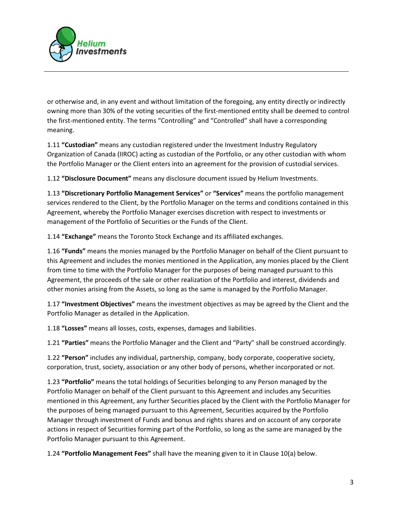

or otherwise and, in any event and without limitation of the foregoing, any entity directly or indirectly owning more than 30% of the voting securities of the first-mentioned entity shall be deemed to control the first-mentioned entity. The terms "Controlling" and "Controlled" shall have a corresponding meaning.

1.11 "Custodian" means any custodian registered under the Investment Industry Regulatory Organization of Canada (IIROC) acting as custodian of the Portfolio, or any other custodian with whom the Portfolio Manager or the Client enters into an agreement for the provision of custodial services.

1.12 "Disclosure Document" means any disclosure document issued by Helium Investments.

1.13 "Discretionary Portfolio Management Services" or "Services" means the portfolio management services rendered to the Client, by the Portfolio Manager on the terms and conditions contained in this Agreement, whereby the Portfolio Manager exercises discretion with respect to investments or management of the Portfolio of Securities or the Funds of the Client.

1.14 "Exchange" means the Toronto Stock Exchange and its affiliated exchanges.

1.16 "Funds" means the monies managed by the Portfolio Manager on behalf of the Client pursuant to this Agreement and includes the monies mentioned in the Application, any monies placed by the Client from time to time with the Portfolio Manager for the purposes of being managed pursuant to this Agreement, the proceeds of the sale or other realization of the Portfolio and interest, dividends and other monies arising from the Assets, so long as the same is managed by the Portfolio Manager.

1.17 "Investment Objectives" means the investment objectives as may be agreed by the Client and the Portfolio Manager as detailed in the Application.

1.18 "Losses" means all losses, costs, expenses, damages and liabilities.

1.21 "Parties" means the Portfolio Manager and the Client and "Party" shall be construed accordingly.

1.22 "Person" includes any individual, partnership, company, body corporate, cooperative society, corporation, trust, society, association or any other body of persons, whether incorporated or not.

1.23 "Portfolio" means the total holdings of Securities belonging to any Person managed by the Portfolio Manager on behalf of the Client pursuant to this Agreement and includes any Securities mentioned in this Agreement, any further Securities placed by the Client with the Portfolio Manager for the purposes of being managed pursuant to this Agreement, Securities acquired by the Portfolio Manager through investment of Funds and bonus and rights shares and on account of any corporate actions in respect of Securities forming part of the Portfolio, so long as the same are managed by the Portfolio Manager pursuant to this Agreement.

1.24 "Portfolio Management Fees" shall have the meaning given to it in Clause 10(a) below.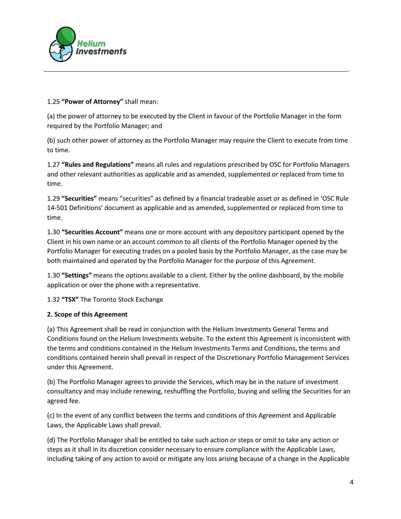

## 1.25 "Power of Attorney" shall mean:

(a) the power of attorney to be executed by the Client in favour of the Portfolio Manager in the form required by the Portfolio Manager; and

(b) such other power of attorney as the Portfolio Manager may require the Client to execute from time to time.

1.27 "Rules and Regulations" means all rules and regulations prescribed by OSC for Portfolio Managers and other relevant authorities as applicable and as amended, supplemented or replaced from time to time.

1.29 "Securities" means "securities" as defined by a financial tradeable asset or as defined in 'OSC Rule 14-501 Definitions' document as applicable and as amended, supplemented or replaced from time to time.

1.30 "Securities Account" means one or more account with any depository participant opened by the Client in his own name or an account common to all clients of the Portfolio Manager opened by the Portfolio Manager for executing trades on a pooled basis by the Portfolio Manager, as the case may be both maintained and operated by the Portfolio Manager for the purpose of this Agreement.

1.30 "Settings" means the options available to a client. Either by the online dashboard, by the mobile application or over the phone with a representative.

1.32 "TSX" The Toronto Stock Exchange

# 2. Scope of this Agreement

(a) This Agreement shall be read in conjunction with the Helium Investments General Terms and Conditions found on the Helium Investments website. To the extent this Agreement is inconsistent with the terms and conditions contained in the Helium Investments Terms and Conditions, the terms and conditions contained herein shall prevail in respect of the Discretionary Portfolio Management Services under this Agreement.

(b) The Portfolio Manager agrees to provide the Services, which may be in the nature of investment consultancy and may include renewing, reshuffling the Portfolio, buying and selling the Securities for an agreed fee.

(c) In the event of any conflict between the terms and conditions of this Agreement and Applicable Laws, the Applicable Laws shall prevail.

(d) The Portfolio Manager shall be entitled to take such action or steps or omit to take any action or steps as it shall in its discretion consider necessary to ensure compliance with the Applicable Laws, including taking of any action to avoid or mitigate any loss arising because of a change in the Applicable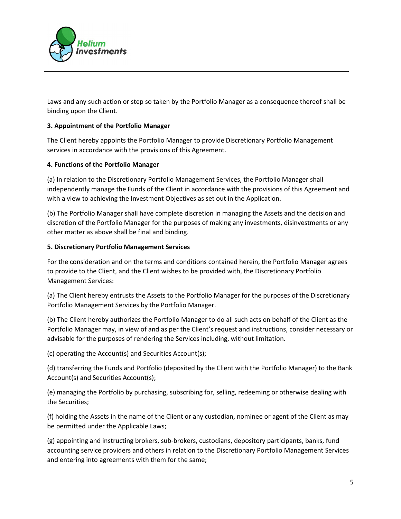

Laws and any such action or step so taken by the Portfolio Manager as a consequence thereof shall be binding upon the Client.

## 3. Appointment of the Portfolio Manager

The Client hereby appoints the Portfolio Manager to provide Discretionary Portfolio Management services in accordance with the provisions of this Agreement.

### 4. Functions of the Portfolio Manager

(a) In relation to the Discretionary Portfolio Management Services, the Portfolio Manager shall independently manage the Funds of the Client in accordance with the provisions of this Agreement and with a view to achieving the Investment Objectives as set out in the Application.

(b) The Portfolio Manager shall have complete discretion in managing the Assets and the decision and discretion of the Portfolio Manager for the purposes of making any investments, disinvestments or any other matter as above shall be final and binding.

### 5. Discretionary Portfolio Management Services

For the consideration and on the terms and conditions contained herein, the Portfolio Manager agrees to provide to the Client, and the Client wishes to be provided with, the Discretionary Portfolio Management Services:

(a) The Client hereby entrusts the Assets to the Portfolio Manager for the purposes of the Discretionary Portfolio Management Services by the Portfolio Manager.

(b) The Client hereby authorizes the Portfolio Manager to do all such acts on behalf of the Client as the Portfolio Manager may, in view of and as per the Client's request and instructions, consider necessary or advisable for the purposes of rendering the Services including, without limitation.

(c) operating the Account(s) and Securities Account(s);

(d) transferring the Funds and Portfolio (deposited by the Client with the Portfolio Manager) to the Bank Account(s) and Securities Account(s);

(e) managing the Portfolio by purchasing, subscribing for, selling, redeeming or otherwise dealing with the Securities;

(f) holding the Assets in the name of the Client or any custodian, nominee or agent of the Client as may be permitted under the Applicable Laws;

(g) appointing and instructing brokers, sub-brokers, custodians, depository participants, banks, fund accounting service providers and others in relation to the Discretionary Portfolio Management Services and entering into agreements with them for the same;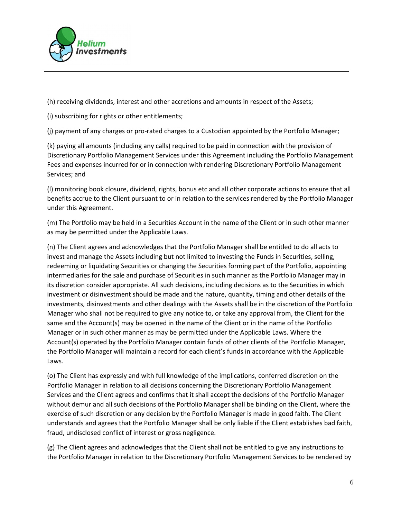

(h) receiving dividends, interest and other accretions and amounts in respect of the Assets;

(i) subscribing for rights or other entitlements;

(j) payment of any charges or pro-rated charges to a Custodian appointed by the Portfolio Manager;

(k) paying all amounts (including any calls) required to be paid in connection with the provision of Discretionary Portfolio Management Services under this Agreement including the Portfolio Management Fees and expenses incurred for or in connection with rendering Discretionary Portfolio Management Services; and

(l) monitoring book closure, dividend, rights, bonus etc and all other corporate actions to ensure that all benefits accrue to the Client pursuant to or in relation to the services rendered by the Portfolio Manager under this Agreement.

(m) The Portfolio may be held in a Securities Account in the name of the Client or in such other manner as may be permitted under the Applicable Laws.

(n) The Client agrees and acknowledges that the Portfolio Manager shall be entitled to do all acts to invest and manage the Assets including but not limited to investing the Funds in Securities, selling, redeeming or liquidating Securities or changing the Securities forming part of the Portfolio, appointing intermediaries for the sale and purchase of Securities in such manner as the Portfolio Manager may in its discretion consider appropriate. All such decisions, including decisions as to the Securities in which investment or disinvestment should be made and the nature, quantity, timing and other details of the investments, disinvestments and other dealings with the Assets shall be in the discretion of the Portfolio Manager who shall not be required to give any notice to, or take any approval from, the Client for the same and the Account(s) may be opened in the name of the Client or in the name of the Portfolio Manager or in such other manner as may be permitted under the Applicable Laws. Where the Account(s) operated by the Portfolio Manager contain funds of other clients of the Portfolio Manager, the Portfolio Manager will maintain a record for each client's funds in accordance with the Applicable Laws.

(o) The Client has expressly and with full knowledge of the implications, conferred discretion on the Portfolio Manager in relation to all decisions concerning the Discretionary Portfolio Management Services and the Client agrees and confirms that it shall accept the decisions of the Portfolio Manager without demur and all such decisions of the Portfolio Manager shall be binding on the Client, where the exercise of such discretion or any decision by the Portfolio Manager is made in good faith. The Client understands and agrees that the Portfolio Manager shall be only liable if the Client establishes bad faith, fraud, undisclosed conflict of interest or gross negligence.

(g) The Client agrees and acknowledges that the Client shall not be entitled to give any instructions to the Portfolio Manager in relation to the Discretionary Portfolio Management Services to be rendered by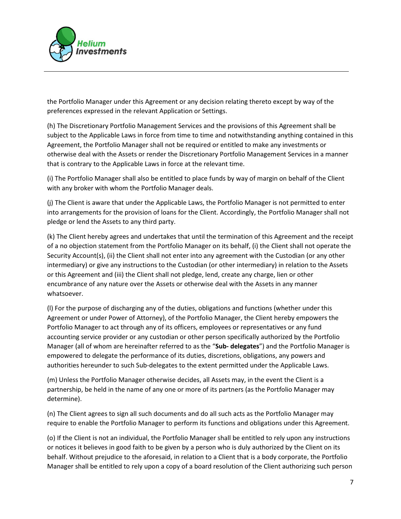

the Portfolio Manager under this Agreement or any decision relating thereto except by way of the preferences expressed in the relevant Application or Settings.

(h) The Discretionary Portfolio Management Services and the provisions of this Agreement shall be subject to the Applicable Laws in force from time to time and notwithstanding anything contained in this Agreement, the Portfolio Manager shall not be required or entitled to make any investments or otherwise deal with the Assets or render the Discretionary Portfolio Management Services in a manner that is contrary to the Applicable Laws in force at the relevant time.

(i) The Portfolio Manager shall also be entitled to place funds by way of margin on behalf of the Client with any broker with whom the Portfolio Manager deals.

(j) The Client is aware that under the Applicable Laws, the Portfolio Manager is not permitted to enter into arrangements for the provision of loans for the Client. Accordingly, the Portfolio Manager shall not pledge or lend the Assets to any third party.

(k) The Client hereby agrees and undertakes that until the termination of this Agreement and the receipt of a no objection statement from the Portfolio Manager on its behalf, (i) the Client shall not operate the Security Account(s), (ii) the Client shall not enter into any agreement with the Custodian (or any other intermediary) or give any instructions to the Custodian (or other intermediary) in relation to the Assets or this Agreement and (iii) the Client shall not pledge, lend, create any charge, lien or other encumbrance of any nature over the Assets or otherwise deal with the Assets in any manner whatsoever.

(l) For the purpose of discharging any of the duties, obligations and functions (whether under this Agreement or under Power of Attorney), of the Portfolio Manager, the Client hereby empowers the Portfolio Manager to act through any of its officers, employees or representatives or any fund accounting service provider or any custodian or other person specifically authorized by the Portfolio Manager (all of whom are hereinafter referred to as the "Sub- delegates") and the Portfolio Manager is empowered to delegate the performance of its duties, discretions, obligations, any powers and authorities hereunder to such Sub-delegates to the extent permitted under the Applicable Laws.

(m) Unless the Portfolio Manager otherwise decides, all Assets may, in the event the Client is a partnership, be held in the name of any one or more of its partners (as the Portfolio Manager may determine).

(n) The Client agrees to sign all such documents and do all such acts as the Portfolio Manager may require to enable the Portfolio Manager to perform its functions and obligations under this Agreement.

(o) If the Client is not an individual, the Portfolio Manager shall be entitled to rely upon any instructions or notices it believes in good faith to be given by a person who is duly authorized by the Client on its behalf. Without prejudice to the aforesaid, in relation to a Client that is a body corporate, the Portfolio Manager shall be entitled to rely upon a copy of a board resolution of the Client authorizing such person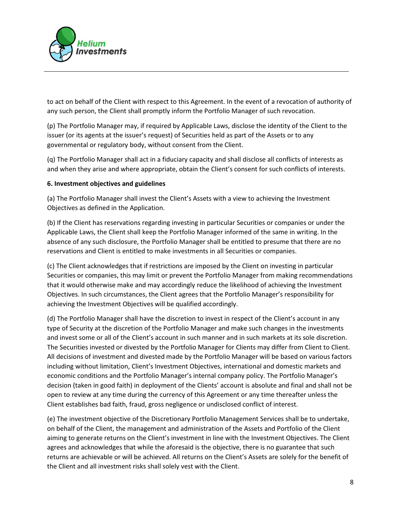

to act on behalf of the Client with respect to this Agreement. In the event of a revocation of authority of any such person, the Client shall promptly inform the Portfolio Manager of such revocation.

(p) The Portfolio Manager may, if required by Applicable Laws, disclose the identity of the Client to the issuer (or its agents at the issuer's request) of Securities held as part of the Assets or to any governmental or regulatory body, without consent from the Client.

(q) The Portfolio Manager shall act in a fiduciary capacity and shall disclose all conflicts of interests as and when they arise and where appropriate, obtain the Client's consent for such conflicts of interests.

## 6. Investment objectives and guidelines

(a) The Portfolio Manager shall invest the Client's Assets with a view to achieving the Investment Objectives as defined in the Application.

(b) If the Client has reservations regarding investing in particular Securities or companies or under the Applicable Laws, the Client shall keep the Portfolio Manager informed of the same in writing. In the absence of any such disclosure, the Portfolio Manager shall be entitled to presume that there are no reservations and Client is entitled to make investments in all Securities or companies.

(c) The Client acknowledges that if restrictions are imposed by the Client on investing in particular Securities or companies, this may limit or prevent the Portfolio Manager from making recommendations that it would otherwise make and may accordingly reduce the likelihood of achieving the Investment Objectives. In such circumstances, the Client agrees that the Portfolio Manager's responsibility for achieving the Investment Objectives will be qualified accordingly.

(d) The Portfolio Manager shall have the discretion to invest in respect of the Client's account in any type of Security at the discretion of the Portfolio Manager and make such changes in the investments and invest some or all of the Client's account in such manner and in such markets at its sole discretion. The Securities invested or divested by the Portfolio Manager for Clients may differ from Client to Client. All decisions of investment and divested made by the Portfolio Manager will be based on various factors including without limitation, Client's Investment Objectives, international and domestic markets and economic conditions and the Portfolio Manager's internal company policy. The Portfolio Manager's decision (taken in good faith) in deployment of the Clients' account is absolute and final and shall not be open to review at any time during the currency of this Agreement or any time thereafter unless the Client establishes bad faith, fraud, gross negligence or undisclosed conflict of interest.

(e) The investment objective of the Discretionary Portfolio Management Services shall be to undertake, on behalf of the Client, the management and administration of the Assets and Portfolio of the Client aiming to generate returns on the Client's investment in line with the Investment Objectives. The Client agrees and acknowledges that while the aforesaid is the objective, there is no guarantee that such returns are achievable or will be achieved. All returns on the Client's Assets are solely for the benefit of the Client and all investment risks shall solely vest with the Client.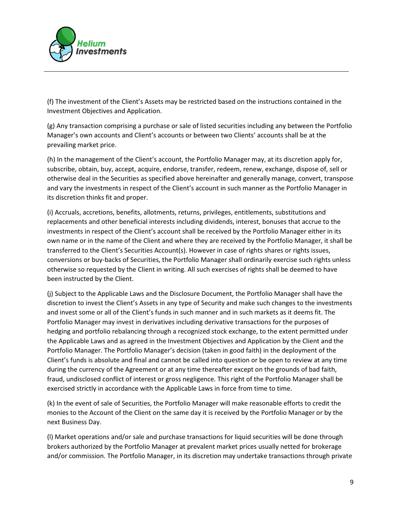

(f) The investment of the Client's Assets may be restricted based on the instructions contained in the Investment Objectives and Application.

(g) Any transaction comprising a purchase or sale of listed securities including any between the Portfolio Manager's own accounts and Client's accounts or between two Clients' accounts shall be at the prevailing market price.

(h) In the management of the Client's account, the Portfolio Manager may, at its discretion apply for, subscribe, obtain, buy, accept, acquire, endorse, transfer, redeem, renew, exchange, dispose of, sell or otherwise deal in the Securities as specified above hereinafter and generally manage, convert, transpose and vary the investments in respect of the Client's account in such manner as the Portfolio Manager in its discretion thinks fit and proper.

(i) Accruals, accretions, benefits, allotments, returns, privileges, entitlements, substitutions and replacements and other beneficial interests including dividends, interest, bonuses that accrue to the investments in respect of the Client's account shall be received by the Portfolio Manager either in its own name or in the name of the Client and where they are received by the Portfolio Manager, it shall be transferred to the Client's Securities Account(s). However in case of rights shares or rights issues, conversions or buy-backs of Securities, the Portfolio Manager shall ordinarily exercise such rights unless otherwise so requested by the Client in writing. All such exercises of rights shall be deemed to have been instructed by the Client.

(j) Subject to the Applicable Laws and the Disclosure Document, the Portfolio Manager shall have the discretion to invest the Client's Assets in any type of Security and make such changes to the investments and invest some or all of the Client's funds in such manner and in such markets as it deems fit. The Portfolio Manager may invest in derivatives including derivative transactions for the purposes of hedging and portfolio rebalancing through a recognized stock exchange, to the extent permitted under the Applicable Laws and as agreed in the Investment Objectives and Application by the Client and the Portfolio Manager. The Portfolio Manager's decision (taken in good faith) in the deployment of the Client's funds is absolute and final and cannot be called into question or be open to review at any time during the currency of the Agreement or at any time thereafter except on the grounds of bad faith, fraud, undisclosed conflict of interest or gross negligence. This right of the Portfolio Manager shall be exercised strictly in accordance with the Applicable Laws in force from time to time.

(k) In the event of sale of Securities, the Portfolio Manager will make reasonable efforts to credit the monies to the Account of the Client on the same day it is received by the Portfolio Manager or by the next Business Day.

(l) Market operations and/or sale and purchase transactions for liquid securities will be done through brokers authorized by the Portfolio Manager at prevalent market prices usually netted for brokerage and/or commission. The Portfolio Manager, in its discretion may undertake transactions through private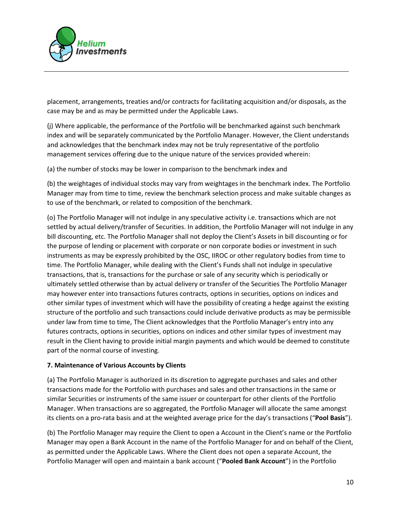

placement, arrangements, treaties and/or contracts for facilitating acquisition and/or disposals, as the case may be and as may be permitted under the Applicable Laws.

(j) Where applicable, the performance of the Portfolio will be benchmarked against such benchmark index and will be separately communicated by the Portfolio Manager. However, the Client understands and acknowledges that the benchmark index may not be truly representative of the portfolio management services offering due to the unique nature of the services provided wherein:

(a) the number of stocks may be lower in comparison to the benchmark index and

(b) the weightages of individual stocks may vary from weightages in the benchmark index. The Portfolio Manager may from time to time, review the benchmark selection process and make suitable changes as to use of the benchmark, or related to composition of the benchmark.

(o) The Portfolio Manager will not indulge in any speculative activity i.e. transactions which are not settled by actual delivery/transfer of Securities. In addition, the Portfolio Manager will not indulge in any bill discounting, etc. The Portfolio Manager shall not deploy the Client's Assets in bill discounting or for the purpose of lending or placement with corporate or non corporate bodies or investment in such instruments as may be expressly prohibited by the OSC, IIROC or other regulatory bodies from time to time. The Portfolio Manager, while dealing with the Client's Funds shall not indulge in speculative transactions, that is, transactions for the purchase or sale of any security which is periodically or ultimately settled otherwise than by actual delivery or transfer of the Securities The Portfolio Manager may however enter into transactions futures contracts, options in securities, options on indices and other similar types of investment which will have the possibility of creating a hedge against the existing structure of the portfolio and such transactions could include derivative products as may be permissible under law from time to time, The Client acknowledges that the Portfolio Manager's entry into any futures contracts, options in securities, options on indices and other similar types of investment may result in the Client having to provide initial margin payments and which would be deemed to constitute part of the normal course of investing.

### 7. Maintenance of Various Accounts by Clients

(a) The Portfolio Manager is authorized in its discretion to aggregate purchases and sales and other transactions made for the Portfolio with purchases and sales and other transactions in the same or similar Securities or instruments of the same issuer or counterpart for other clients of the Portfolio Manager. When transactions are so aggregated, the Portfolio Manager will allocate the same amongst its clients on a pro-rata basis and at the weighted average price for the day's transactions ("Pool Basis").

(b) The Portfolio Manager may require the Client to open a Account in the Client's name or the Portfolio Manager may open a Bank Account in the name of the Portfolio Manager for and on behalf of the Client, as permitted under the Applicable Laws. Where the Client does not open a separate Account, the Portfolio Manager will open and maintain a bank account ("Pooled Bank Account") in the Portfolio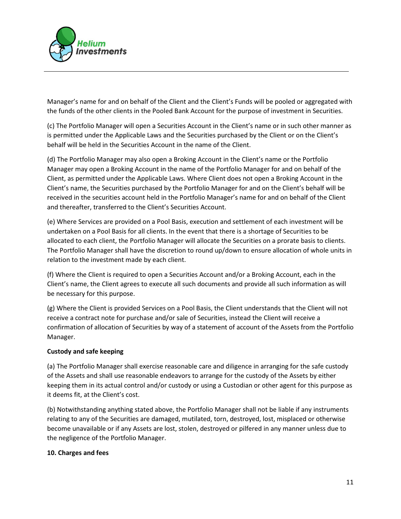

Manager's name for and on behalf of the Client and the Client's Funds will be pooled or aggregated with the funds of the other clients in the Pooled Bank Account for the purpose of investment in Securities.

(c) The Portfolio Manager will open a Securities Account in the Client's name or in such other manner as is permitted under the Applicable Laws and the Securities purchased by the Client or on the Client's behalf will be held in the Securities Account in the name of the Client.

(d) The Portfolio Manager may also open a Broking Account in the Client's name or the Portfolio Manager may open a Broking Account in the name of the Portfolio Manager for and on behalf of the Client, as permitted under the Applicable Laws. Where Client does not open a Broking Account in the Client's name, the Securities purchased by the Portfolio Manager for and on the Client's behalf will be received in the securities account held in the Portfolio Manager's name for and on behalf of the Client and thereafter, transferred to the Client's Securities Account.

(e) Where Services are provided on a Pool Basis, execution and settlement of each investment will be undertaken on a Pool Basis for all clients. In the event that there is a shortage of Securities to be allocated to each client, the Portfolio Manager will allocate the Securities on a prorate basis to clients. The Portfolio Manager shall have the discretion to round up/down to ensure allocation of whole units in relation to the investment made by each client.

(f) Where the Client is required to open a Securities Account and/or a Broking Account, each in the Client's name, the Client agrees to execute all such documents and provide all such information as will be necessary for this purpose.

(g) Where the Client is provided Services on a Pool Basis, the Client understands that the Client will not receive a contract note for purchase and/or sale of Securities, instead the Client will receive a confirmation of allocation of Securities by way of a statement of account of the Assets from the Portfolio Manager.

# Custody and safe keeping

(a) The Portfolio Manager shall exercise reasonable care and diligence in arranging for the safe custody of the Assets and shall use reasonable endeavors to arrange for the custody of the Assets by either keeping them in its actual control and/or custody or using a Custodian or other agent for this purpose as it deems fit, at the Client's cost.

(b) Notwithstanding anything stated above, the Portfolio Manager shall not be liable if any instruments relating to any of the Securities are damaged, mutilated, torn, destroyed, lost, misplaced or otherwise become unavailable or if any Assets are lost, stolen, destroyed or pilfered in any manner unless due to the negligence of the Portfolio Manager.

### 10. Charges and fees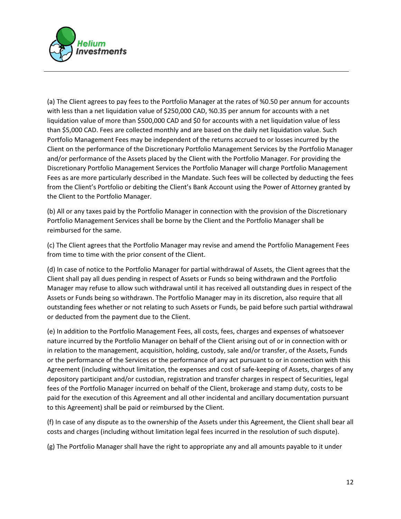

(a) The Client agrees to pay fees to the Portfolio Manager at the rates of %0.50 per annum for accounts with less than a net liquidation value of \$250,000 CAD, %0.35 per annum for accounts with a net liquidation value of more than \$500,000 CAD and \$0 for accounts with a net liquidation value of less than \$5,000 CAD. Fees are collected monthly and are based on the daily net liquidation value. Such Portfolio Management Fees may be independent of the returns accrued to or losses incurred by the Client on the performance of the Discretionary Portfolio Management Services by the Portfolio Manager and/or performance of the Assets placed by the Client with the Portfolio Manager. For providing the Discretionary Portfolio Management Services the Portfolio Manager will charge Portfolio Management Fees as are more particularly described in the Mandate. Such fees will be collected by deducting the fees from the Client's Portfolio or debiting the Client's Bank Account using the Power of Attorney granted by the Client to the Portfolio Manager.

(b) All or any taxes paid by the Portfolio Manager in connection with the provision of the Discretionary Portfolio Management Services shall be borne by the Client and the Portfolio Manager shall be reimbursed for the same.

(c) The Client agrees that the Portfolio Manager may revise and amend the Portfolio Management Fees from time to time with the prior consent of the Client.

(d) In case of notice to the Portfolio Manager for partial withdrawal of Assets, the Client agrees that the Client shall pay all dues pending in respect of Assets or Funds so being withdrawn and the Portfolio Manager may refuse to allow such withdrawal until it has received all outstanding dues in respect of the Assets or Funds being so withdrawn. The Portfolio Manager may in its discretion, also require that all outstanding fees whether or not relating to such Assets or Funds, be paid before such partial withdrawal or deducted from the payment due to the Client.

(e) In addition to the Portfolio Management Fees, all costs, fees, charges and expenses of whatsoever nature incurred by the Portfolio Manager on behalf of the Client arising out of or in connection with or in relation to the management, acquisition, holding, custody, sale and/or transfer, of the Assets, Funds or the performance of the Services or the performance of any act pursuant to or in connection with this Agreement (including without limitation, the expenses and cost of safe-keeping of Assets, charges of any depository participant and/or custodian, registration and transfer charges in respect of Securities, legal fees of the Portfolio Manager incurred on behalf of the Client, brokerage and stamp duty, costs to be paid for the execution of this Agreement and all other incidental and ancillary documentation pursuant to this Agreement) shall be paid or reimbursed by the Client.

(f) In case of any dispute as to the ownership of the Assets under this Agreement, the Client shall bear all costs and charges (including without limitation legal fees incurred in the resolution of such dispute).

(g) The Portfolio Manager shall have the right to appropriate any and all amounts payable to it under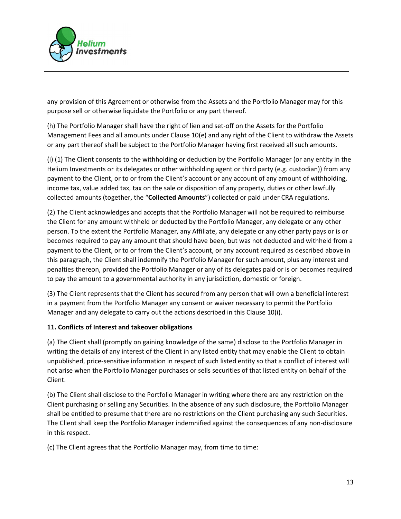

any provision of this Agreement or otherwise from the Assets and the Portfolio Manager may for this purpose sell or otherwise liquidate the Portfolio or any part thereof.

(h) The Portfolio Manager shall have the right of lien and set-off on the Assets for the Portfolio Management Fees and all amounts under Clause 10(e) and any right of the Client to withdraw the Assets or any part thereof shall be subject to the Portfolio Manager having first received all such amounts.

(i) (1) The Client consents to the withholding or deduction by the Portfolio Manager (or any entity in the Helium Investments or its delegates or other withholding agent or third party (e.g. custodian)) from any payment to the Client, or to or from the Client's account or any account of any amount of withholding, income tax, value added tax, tax on the sale or disposition of any property, duties or other lawfully collected amounts (together, the "Collected Amounts") collected or paid under CRA regulations.

(2) The Client acknowledges and accepts that the Portfolio Manager will not be required to reimburse the Client for any amount withheld or deducted by the Portfolio Manager, any delegate or any other person. To the extent the Portfolio Manager, any Affiliate, any delegate or any other party pays or is or becomes required to pay any amount that should have been, but was not deducted and withheld from a payment to the Client, or to or from the Client's account, or any account required as described above in this paragraph, the Client shall indemnify the Portfolio Manager for such amount, plus any interest and penalties thereon, provided the Portfolio Manager or any of its delegates paid or is or becomes required to pay the amount to a governmental authority in any jurisdiction, domestic or foreign.

(3) The Client represents that the Client has secured from any person that will own a beneficial interest in a payment from the Portfolio Manager any consent or waiver necessary to permit the Portfolio Manager and any delegate to carry out the actions described in this Clause 10(i).

### 11. Conflicts of Interest and takeover obligations

(a) The Client shall (promptly on gaining knowledge of the same) disclose to the Portfolio Manager in writing the details of any interest of the Client in any listed entity that may enable the Client to obtain unpublished, price-sensitive information in respect of such listed entity so that a conflict of interest will not arise when the Portfolio Manager purchases or sells securities of that listed entity on behalf of the Client.

(b) The Client shall disclose to the Portfolio Manager in writing where there are any restriction on the Client purchasing or selling any Securities. In the absence of any such disclosure, the Portfolio Manager shall be entitled to presume that there are no restrictions on the Client purchasing any such Securities. The Client shall keep the Portfolio Manager indemnified against the consequences of any non-disclosure in this respect.

(c) The Client agrees that the Portfolio Manager may, from time to time: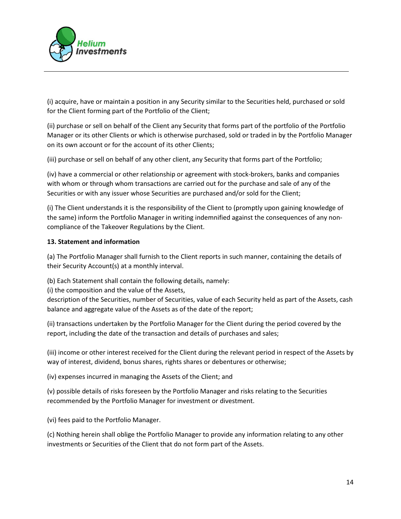

(i) acquire, have or maintain a position in any Security similar to the Securities held, purchased or sold for the Client forming part of the Portfolio of the Client;

(ii) purchase or sell on behalf of the Client any Security that forms part of the portfolio of the Portfolio Manager or its other Clients or which is otherwise purchased, sold or traded in by the Portfolio Manager on its own account or for the account of its other Clients;

(iii) purchase or sell on behalf of any other client, any Security that forms part of the Portfolio;

(iv) have a commercial or other relationship or agreement with stock-brokers, banks and companies with whom or through whom transactions are carried out for the purchase and sale of any of the Securities or with any issuer whose Securities are purchased and/or sold for the Client;

(i) The Client understands it is the responsibility of the Client to (promptly upon gaining knowledge of the same) inform the Portfolio Manager in writing indemnified against the consequences of any noncompliance of the Takeover Regulations by the Client.

## 13. Statement and information

(a) The Portfolio Manager shall furnish to the Client reports in such manner, containing the details of their Security Account(s) at a monthly interval.

(b) Each Statement shall contain the following details, namely:

(i) the composition and the value of the Assets,

description of the Securities, number of Securities, value of each Security held as part of the Assets, cash balance and aggregate value of the Assets as of the date of the report;

(ii) transactions undertaken by the Portfolio Manager for the Client during the period covered by the report, including the date of the transaction and details of purchases and sales;

(iii) income or other interest received for the Client during the relevant period in respect of the Assets by way of interest, dividend, bonus shares, rights shares or debentures or otherwise;

(iv) expenses incurred in managing the Assets of the Client; and

(v) possible details of risks foreseen by the Portfolio Manager and risks relating to the Securities recommended by the Portfolio Manager for investment or divestment.

(vi) fees paid to the Portfolio Manager.

(c) Nothing herein shall oblige the Portfolio Manager to provide any information relating to any other investments or Securities of the Client that do not form part of the Assets.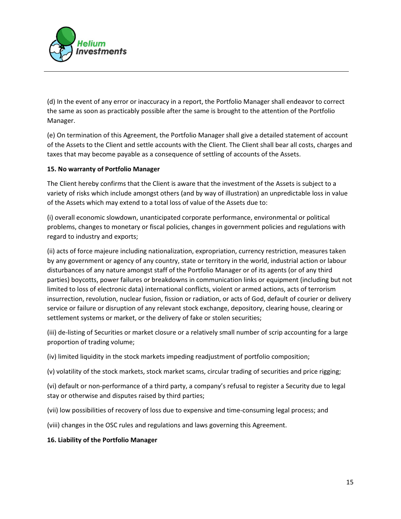

(d) In the event of any error or inaccuracy in a report, the Portfolio Manager shall endeavor to correct the same as soon as practicably possible after the same is brought to the attention of the Portfolio Manager.

(e) On termination of this Agreement, the Portfolio Manager shall give a detailed statement of account of the Assets to the Client and settle accounts with the Client. The Client shall bear all costs, charges and taxes that may become payable as a consequence of settling of accounts of the Assets.

## 15. No warranty of Portfolio Manager

The Client hereby confirms that the Client is aware that the investment of the Assets is subject to a variety of risks which include amongst others (and by way of illustration) an unpredictable loss in value of the Assets which may extend to a total loss of value of the Assets due to:

(i) overall economic slowdown, unanticipated corporate performance, environmental or political problems, changes to monetary or fiscal policies, changes in government policies and regulations with regard to industry and exports;

(ii) acts of force majeure including nationalization, expropriation, currency restriction, measures taken by any government or agency of any country, state or territory in the world, industrial action or labour disturbances of any nature amongst staff of the Portfolio Manager or of its agents (or of any third parties) boycotts, power failures or breakdowns in communication links or equipment (including but not limited to loss of electronic data) international conflicts, violent or armed actions, acts of terrorism insurrection, revolution, nuclear fusion, fission or radiation, or acts of God, default of courier or delivery service or failure or disruption of any relevant stock exchange, depository, clearing house, clearing or settlement systems or market, or the delivery of fake or stolen securities;

(iii) de-listing of Securities or market closure or a relatively small number of scrip accounting for a large proportion of trading volume;

(iv) limited liquidity in the stock markets impeding readjustment of portfolio composition;

(v) volatility of the stock markets, stock market scams, circular trading of securities and price rigging;

(vi) default or non-performance of a third party, a company's refusal to register a Security due to legal stay or otherwise and disputes raised by third parties;

(vii) low possibilities of recovery of loss due to expensive and time-consuming legal process; and

(viii) changes in the OSC rules and regulations and laws governing this Agreement.

### 16. Liability of the Portfolio Manager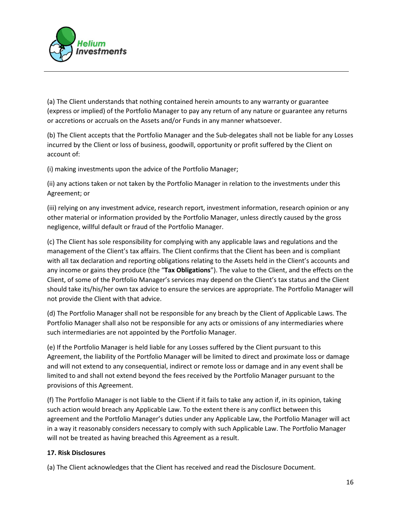

(a) The Client understands that nothing contained herein amounts to any warranty or guarantee (express or implied) of the Portfolio Manager to pay any return of any nature or guarantee any returns or accretions or accruals on the Assets and/or Funds in any manner whatsoever.

(b) The Client accepts that the Portfolio Manager and the Sub-delegates shall not be liable for any Losses incurred by the Client or loss of business, goodwill, opportunity or profit suffered by the Client on account of:

(i) making investments upon the advice of the Portfolio Manager;

(ii) any actions taken or not taken by the Portfolio Manager in relation to the investments under this Agreement; or

(iii) relying on any investment advice, research report, investment information, research opinion or any other material or information provided by the Portfolio Manager, unless directly caused by the gross negligence, willful default or fraud of the Portfolio Manager.

(c) The Client has sole responsibility for complying with any applicable laws and regulations and the management of the Client's tax affairs. The Client confirms that the Client has been and is compliant with all tax declaration and reporting obligations relating to the Assets held in the Client's accounts and any income or gains they produce (the "Tax Obligations"). The value to the Client, and the effects on the Client, of some of the Portfolio Manager's services may depend on the Client's tax status and the Client should take its/his/her own tax advice to ensure the services are appropriate. The Portfolio Manager will not provide the Client with that advice.

(d) The Portfolio Manager shall not be responsible for any breach by the Client of Applicable Laws. The Portfolio Manager shall also not be responsible for any acts or omissions of any intermediaries where such intermediaries are not appointed by the Portfolio Manager.

(e) If the Portfolio Manager is held liable for any Losses suffered by the Client pursuant to this Agreement, the liability of the Portfolio Manager will be limited to direct and proximate loss or damage and will not extend to any consequential, indirect or remote loss or damage and in any event shall be limited to and shall not extend beyond the fees received by the Portfolio Manager pursuant to the provisions of this Agreement.

(f) The Portfolio Manager is not liable to the Client if it fails to take any action if, in its opinion, taking such action would breach any Applicable Law. To the extent there is any conflict between this agreement and the Portfolio Manager's duties under any Applicable Law, the Portfolio Manager will act in a way it reasonably considers necessary to comply with such Applicable Law. The Portfolio Manager will not be treated as having breached this Agreement as a result.

# 17. Risk Disclosures

(a) The Client acknowledges that the Client has received and read the Disclosure Document.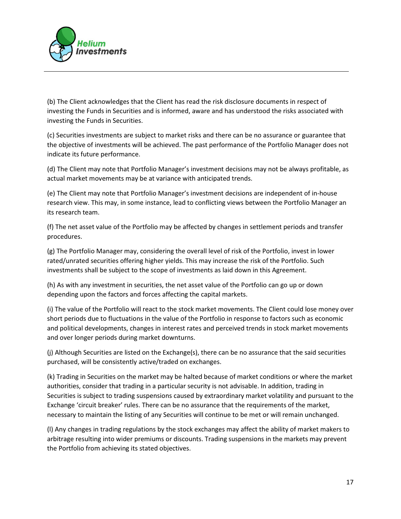

(b) The Client acknowledges that the Client has read the risk disclosure documents in respect of investing the Funds in Securities and is informed, aware and has understood the risks associated with investing the Funds in Securities.

(c) Securities investments are subject to market risks and there can be no assurance or guarantee that the objective of investments will be achieved. The past performance of the Portfolio Manager does not indicate its future performance.

(d) The Client may note that Portfolio Manager's investment decisions may not be always profitable, as actual market movements may be at variance with anticipated trends.

(e) The Client may note that Portfolio Manager's investment decisions are independent of in-house research view. This may, in some instance, lead to conflicting views between the Portfolio Manager an its research team.

(f) The net asset value of the Portfolio may be affected by changes in settlement periods and transfer procedures.

(g) The Portfolio Manager may, considering the overall level of risk of the Portfolio, invest in lower rated/unrated securities offering higher yields. This may increase the risk of the Portfolio. Such investments shall be subject to the scope of investments as laid down in this Agreement.

(h) As with any investment in securities, the net asset value of the Portfolio can go up or down depending upon the factors and forces affecting the capital markets.

(i) The value of the Portfolio will react to the stock market movements. The Client could lose money over short periods due to fluctuations in the value of the Portfolio in response to factors such as economic and political developments, changes in interest rates and perceived trends in stock market movements and over longer periods during market downturns.

(j) Although Securities are listed on the Exchange(s), there can be no assurance that the said securities purchased, will be consistently active/traded on exchanges.

(k) Trading in Securities on the market may be halted because of market conditions or where the market authorities, consider that trading in a particular security is not advisable. In addition, trading in Securities is subject to trading suspensions caused by extraordinary market volatility and pursuant to the Exchange 'circuit breaker' rules. There can be no assurance that the requirements of the market, necessary to maintain the listing of any Securities will continue to be met or will remain unchanged.

(l) Any changes in trading regulations by the stock exchanges may affect the ability of market makers to arbitrage resulting into wider premiums or discounts. Trading suspensions in the markets may prevent the Portfolio from achieving its stated objectives.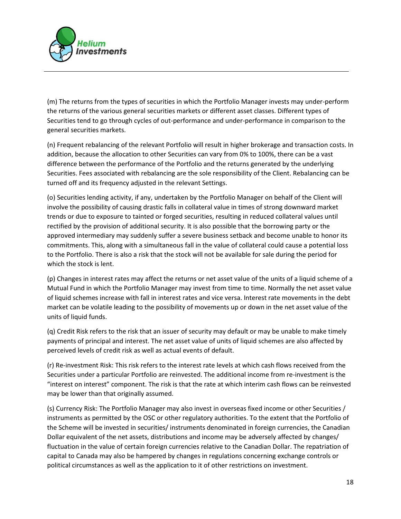

(m) The returns from the types of securities in which the Portfolio Manager invests may under-perform the returns of the various general securities markets or different asset classes. Different types of Securities tend to go through cycles of out-performance and under-performance in comparison to the general securities markets.

(n) Frequent rebalancing of the relevant Portfolio will result in higher brokerage and transaction costs. In addition, because the allocation to other Securities can vary from 0% to 100%, there can be a vast difference between the performance of the Portfolio and the returns generated by the underlying Securities. Fees associated with rebalancing are the sole responsibility of the Client. Rebalancing can be turned off and its frequency adjusted in the relevant Settings.

(o) Securities lending activity, if any, undertaken by the Portfolio Manager on behalf of the Client will involve the possibility of causing drastic falls in collateral value in times of strong downward market trends or due to exposure to tainted or forged securities, resulting in reduced collateral values until rectified by the provision of additional security. It is also possible that the borrowing party or the approved intermediary may suddenly suffer a severe business setback and become unable to honor its commitments. This, along with a simultaneous fall in the value of collateral could cause a potential loss to the Portfolio. There is also a risk that the stock will not be available for sale during the period for which the stock is lent.

(p) Changes in interest rates may affect the returns or net asset value of the units of a liquid scheme of a Mutual Fund in which the Portfolio Manager may invest from time to time. Normally the net asset value of liquid schemes increase with fall in interest rates and vice versa. Interest rate movements in the debt market can be volatile leading to the possibility of movements up or down in the net asset value of the units of liquid funds.

(q) Credit Risk refers to the risk that an issuer of security may default or may be unable to make timely payments of principal and interest. The net asset value of units of liquid schemes are also affected by perceived levels of credit risk as well as actual events of default.

(r) Re-investment Risk: This risk refers to the interest rate levels at which cash flows received from the Securities under a particular Portfolio are reinvested. The additional income from re-investment is the "interest on interest" component. The risk is that the rate at which interim cash flows can be reinvested may be lower than that originally assumed.

(s) Currency Risk: The Portfolio Manager may also invest in overseas fixed income or other Securities / instruments as permitted by the OSC or other regulatory authorities. To the extent that the Portfolio of the Scheme will be invested in securities/ instruments denominated in foreign currencies, the Canadian Dollar equivalent of the net assets, distributions and income may be adversely affected by changes/ fluctuation in the value of certain foreign currencies relative to the Canadian Dollar. The repatriation of capital to Canada may also be hampered by changes in regulations concerning exchange controls or political circumstances as well as the application to it of other restrictions on investment.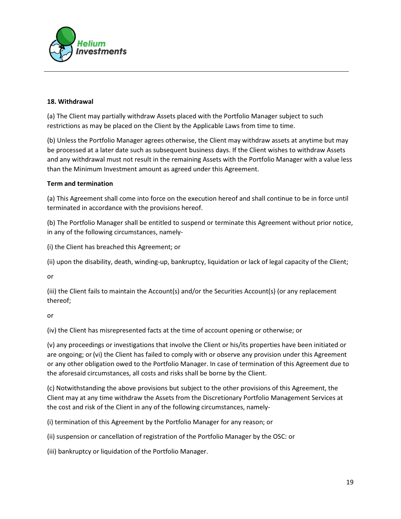

### 18. Withdrawal

(a) The Client may partially withdraw Assets placed with the Portfolio Manager subject to such restrictions as may be placed on the Client by the Applicable Laws from time to time.

(b) Unless the Portfolio Manager agrees otherwise, the Client may withdraw assets at anytime but may be processed at a later date such as subsequent business days. If the Client wishes to withdraw Assets and any withdrawal must not result in the remaining Assets with the Portfolio Manager with a value less than the Minimum Investment amount as agreed under this Agreement.

### Term and termination

(a) This Agreement shall come into force on the execution hereof and shall continue to be in force until terminated in accordance with the provisions hereof.

(b) The Portfolio Manager shall be entitled to suspend or terminate this Agreement without prior notice, in any of the following circumstances, namely-

(i) the Client has breached this Agreement; or

(ii) upon the disability, death, winding-up, bankruptcy, liquidation or lack of legal capacity of the Client;

or

(iii) the Client fails to maintain the Account(s) and/or the Securities Account(s) (or any replacement thereof;

or

(iv) the Client has misrepresented facts at the time of account opening or otherwise; or

(v) any proceedings or investigations that involve the Client or his/its properties have been initiated or are ongoing; or(vi) the Client has failed to comply with or observe any provision under this Agreement or any other obligation owed to the Portfolio Manager. In case of termination of this Agreement due to the aforesaid circumstances, all costs and risks shall be borne by the Client.

(c) Notwithstanding the above provisions but subject to the other provisions of this Agreement, the Client may at any time withdraw the Assets from the Discretionary Portfolio Management Services at the cost and risk of the Client in any of the following circumstances, namely-

(i) termination of this Agreement by the Portfolio Manager for any reason; or

(ii) suspension or cancellation of registration of the Portfolio Manager by the OSC: or

(iii) bankruptcy or liquidation of the Portfolio Manager.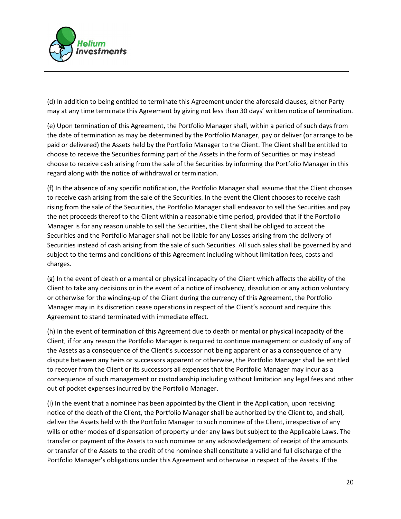

(d) In addition to being entitled to terminate this Agreement under the aforesaid clauses, either Party may at any time terminate this Agreement by giving not less than 30 days' written notice of termination.

(e) Upon termination of this Agreement, the Portfolio Manager shall, within a period of such days from the date of termination as may be determined by the Portfolio Manager, pay or deliver (or arrange to be paid or delivered) the Assets held by the Portfolio Manager to the Client. The Client shall be entitled to choose to receive the Securities forming part of the Assets in the form of Securities or may instead choose to receive cash arising from the sale of the Securities by informing the Portfolio Manager in this regard along with the notice of withdrawal or termination.

(f) In the absence of any specific notification, the Portfolio Manager shall assume that the Client chooses to receive cash arising from the sale of the Securities. In the event the Client chooses to receive cash rising from the sale of the Securities, the Portfolio Manager shall endeavor to sell the Securities and pay the net proceeds thereof to the Client within a reasonable time period, provided that if the Portfolio Manager is for any reason unable to sell the Securities, the Client shall be obliged to accept the Securities and the Portfolio Manager shall not be liable for any Losses arising from the delivery of Securities instead of cash arising from the sale of such Securities. All such sales shall be governed by and subject to the terms and conditions of this Agreement including without limitation fees, costs and charges.

(g) In the event of death or a mental or physical incapacity of the Client which affects the ability of the Client to take any decisions or in the event of a notice of insolvency, dissolution or any action voluntary or otherwise for the winding-up of the Client during the currency of this Agreement, the Portfolio Manager may in its discretion cease operations in respect of the Client's account and require this Agreement to stand terminated with immediate effect.

(h) In the event of termination of this Agreement due to death or mental or physical incapacity of the Client, if for any reason the Portfolio Manager is required to continue management or custody of any of the Assets as a consequence of the Client's successor not being apparent or as a consequence of any dispute between any heirs or successors apparent or otherwise, the Portfolio Manager shall be entitled to recover from the Client or its successors all expenses that the Portfolio Manager may incur as a consequence of such management or custodianship including without limitation any legal fees and other out of pocket expenses incurred by the Portfolio Manager.

(i) In the event that a nominee has been appointed by the Client in the Application, upon receiving notice of the death of the Client, the Portfolio Manager shall be authorized by the Client to, and shall, deliver the Assets held with the Portfolio Manager to such nominee of the Client, irrespective of any wills or other modes of dispensation of property under any laws but subject to the Applicable Laws. The transfer or payment of the Assets to such nominee or any acknowledgement of receipt of the amounts or transfer of the Assets to the credit of the nominee shall constitute a valid and full discharge of the Portfolio Manager's obligations under this Agreement and otherwise in respect of the Assets. If the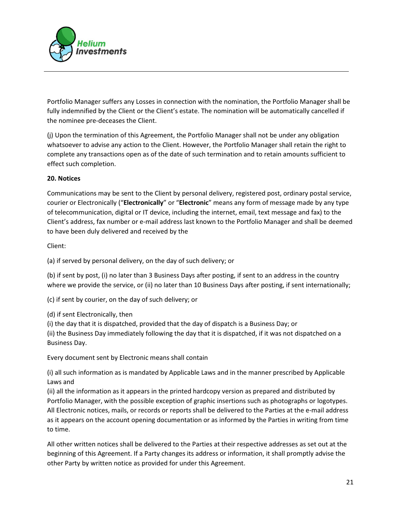

Portfolio Manager suffers any Losses in connection with the nomination, the Portfolio Manager shall be fully indemnified by the Client or the Client's estate. The nomination will be automatically cancelled if the nominee pre-deceases the Client.

(j) Upon the termination of this Agreement, the Portfolio Manager shall not be under any obligation whatsoever to advise any action to the Client. However, the Portfolio Manager shall retain the right to complete any transactions open as of the date of such termination and to retain amounts sufficient to effect such completion.

# 20. Notices

Communications may be sent to the Client by personal delivery, registered post, ordinary postal service, courier or Electronically ("Electronically" or "Electronic" means any form of message made by any type of telecommunication, digital or IT device, including the internet, email, text message and fax) to the Client's address, fax number or e-mail address last known to the Portfolio Manager and shall be deemed to have been duly delivered and received by the

Client:

(a) if served by personal delivery, on the day of such delivery; or

(b) if sent by post, (i) no later than 3 Business Days after posting, if sent to an address in the country where we provide the service, or (ii) no later than 10 Business Days after posting, if sent internationally;

(c) if sent by courier, on the day of such delivery; or

(d) if sent Electronically, then

(i) the day that it is dispatched, provided that the day of dispatch is a Business Day; or

(ii) the Business Day immediately following the day that it is dispatched, if it was not dispatched on a Business Day.

Every document sent by Electronic means shall contain

(i) all such information as is mandated by Applicable Laws and in the manner prescribed by Applicable Laws and

(ii) all the information as it appears in the printed hardcopy version as prepared and distributed by Portfolio Manager, with the possible exception of graphic insertions such as photographs or logotypes. All Electronic notices, mails, or records or reports shall be delivered to the Parties at the e-mail address as it appears on the account opening documentation or as informed by the Parties in writing from time to time.

All other written notices shall be delivered to the Parties at their respective addresses as set out at the beginning of this Agreement. If a Party changes its address or information, it shall promptly advise the other Party by written notice as provided for under this Agreement.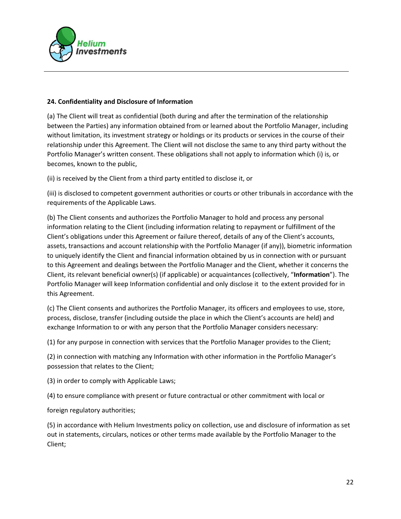

### 24. Confidentiality and Disclosure of Information

(a) The Client will treat as confidential (both during and after the termination of the relationship between the Parties) any information obtained from or learned about the Portfolio Manager, including without limitation, its investment strategy or holdings or its products or services in the course of their relationship under this Agreement. The Client will not disclose the same to any third party without the Portfolio Manager's written consent. These obligations shall not apply to information which (i) is, or becomes, known to the public,

(ii) is received by the Client from a third party entitled to disclose it, or

(iii) is disclosed to competent government authorities or courts or other tribunals in accordance with the requirements of the Applicable Laws.

(b) The Client consents and authorizes the Portfolio Manager to hold and process any personal information relating to the Client (including information relating to repayment or fulfillment of the Client's obligations under this Agreement or failure thereof, details of any of the Client's accounts, assets, transactions and account relationship with the Portfolio Manager (if any)), biometric information to uniquely identify the Client and financial information obtained by us in connection with or pursuant to this Agreement and dealings between the Portfolio Manager and the Client, whether it concerns the Client, its relevant beneficial owner(s) (if applicable) or acquaintances (collectively, "Information"). The Portfolio Manager will keep Information confidential and only disclose it to the extent provided for in this Agreement.

(c) The Client consents and authorizes the Portfolio Manager, its officers and employees to use, store, process, disclose, transfer (including outside the place in which the Client's accounts are held) and exchange Information to or with any person that the Portfolio Manager considers necessary:

(1) for any purpose in connection with services that the Portfolio Manager provides to the Client;

(2) in connection with matching any Information with other information in the Portfolio Manager's possession that relates to the Client;

(3) in order to comply with Applicable Laws;

(4) to ensure compliance with present or future contractual or other commitment with local or

foreign regulatory authorities;

(5) in accordance with Helium Investments policy on collection, use and disclosure of information as set out in statements, circulars, notices or other terms made available by the Portfolio Manager to the Client;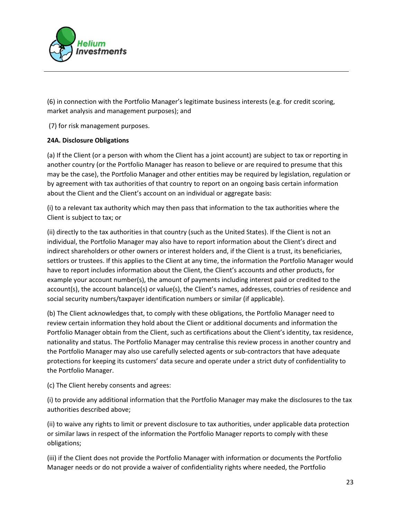

(6) in connection with the Portfolio Manager's legitimate business interests (e.g. for credit scoring, market analysis and management purposes); and

(7) for risk management purposes.

## 24A. Disclosure Obligations

(a) If the Client (or a person with whom the Client has a joint account) are subject to tax or reporting in another country (or the Portfolio Manager has reason to believe or are required to presume that this may be the case), the Portfolio Manager and other entities may be required by legislation, regulation or by agreement with tax authorities of that country to report on an ongoing basis certain information about the Client and the Client's account on an individual or aggregate basis:

(i) to a relevant tax authority which may then pass that information to the tax authorities where the Client is subject to tax; or

(ii) directly to the tax authorities in that country (such as the United States). If the Client is not an individual, the Portfolio Manager may also have to report information about the Client's direct and indirect shareholders or other owners or interest holders and, if the Client is a trust, its beneficiaries, settlors or trustees. If this applies to the Client at any time, the information the Portfolio Manager would have to report includes information about the Client, the Client's accounts and other products, for example your account number(s), the amount of payments including interest paid or credited to the account(s), the account balance(s) or value(s), the Client's names, addresses, countries of residence and social security numbers/taxpayer identification numbers or similar (if applicable).

(b) The Client acknowledges that, to comply with these obligations, the Portfolio Manager need to review certain information they hold about the Client or additional documents and information the Portfolio Manager obtain from the Client, such as certifications about the Client's identity, tax residence, nationality and status. The Portfolio Manager may centralise this review process in another country and the Portfolio Manager may also use carefully selected agents or sub-contractors that have adequate protections for keeping its customers' data secure and operate under a strict duty of confidentiality to the Portfolio Manager.

(c) The Client hereby consents and agrees:

(i) to provide any additional information that the Portfolio Manager may make the disclosures to the tax authorities described above;

(ii) to waive any rights to limit or prevent disclosure to tax authorities, under applicable data protection or similar laws in respect of the information the Portfolio Manager reports to comply with these obligations;

(iii) if the Client does not provide the Portfolio Manager with information or documents the Portfolio Manager needs or do not provide a waiver of confidentiality rights where needed, the Portfolio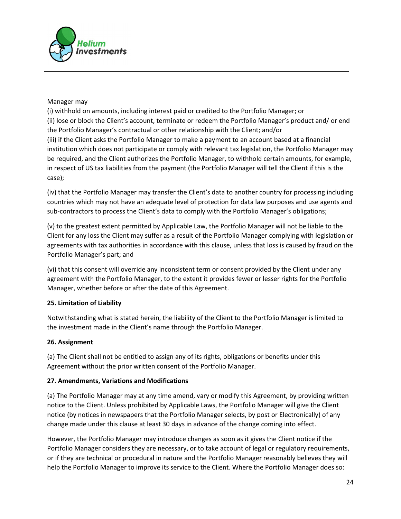

## Manager may

(i) withhold on amounts, including interest paid or credited to the Portfolio Manager; or (ii) lose or block the Client's account, terminate or redeem the Portfolio Manager's product and/ or end the Portfolio Manager's contractual or other relationship with the Client; and/or (iii) if the Client asks the Portfolio Manager to make a payment to an account based at a financial institution which does not participate or comply with relevant tax legislation, the Portfolio Manager may be required, and the Client authorizes the Portfolio Manager, to withhold certain amounts, for example, in respect of US tax liabilities from the payment (the Portfolio Manager will tell the Client if this is the case);

(iv) that the Portfolio Manager may transfer the Client's data to another country for processing including countries which may not have an adequate level of protection for data law purposes and use agents and sub-contractors to process the Client's data to comply with the Portfolio Manager's obligations;

(v) to the greatest extent permitted by Applicable Law, the Portfolio Manager will not be liable to the Client for any loss the Client may suffer as a result of the Portfolio Manager complying with legislation or agreements with tax authorities in accordance with this clause, unless that loss is caused by fraud on the Portfolio Manager's part; and

(vi) that this consent will override any inconsistent term or consent provided by the Client under any agreement with the Portfolio Manager, to the extent it provides fewer or lesser rights for the Portfolio Manager, whether before or after the date of this Agreement.

# 25. Limitation of Liability

Notwithstanding what is stated herein, the liability of the Client to the Portfolio Manager is limited to the investment made in the Client's name through the Portfolio Manager.

### 26. Assignment

(a) The Client shall not be entitled to assign any of its rights, obligations or benefits under this Agreement without the prior written consent of the Portfolio Manager.

### 27. Amendments, Variations and Modifications

(a) The Portfolio Manager may at any time amend, vary or modify this Agreement, by providing written notice to the Client. Unless prohibited by Applicable Laws, the Portfolio Manager will give the Client notice (by notices in newspapers that the Portfolio Manager selects, by post or Electronically) of any change made under this clause at least 30 days in advance of the change coming into effect.

However, the Portfolio Manager may introduce changes as soon as it gives the Client notice if the Portfolio Manager considers they are necessary, or to take account of legal or regulatory requirements, or if they are technical or procedural in nature and the Portfolio Manager reasonably believes they will help the Portfolio Manager to improve its service to the Client. Where the Portfolio Manager does so: